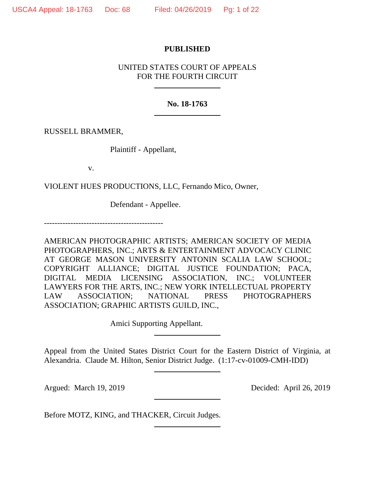## **PUBLISHED**

# UNITED STATES COURT OF APPEALS FOR THE FOURTH CIRCUIT

## **No. 18-1763**

RUSSELL BRAMMER,

Plaintiff - Appellant,

v.

VIOLENT HUES PRODUCTIONS, LLC, Fernando Mico, Owner,

Defendant - Appellee.

---------------------------------------------

AMERICAN PHOTOGRAPHIC ARTISTS; AMERICAN SOCIETY OF MEDIA PHOTOGRAPHERS, INC.; ARTS & ENTERTAINMENT ADVOCACY CLINIC AT GEORGE MASON UNIVERSITY ANTONIN SCALIA LAW SCHOOL; COPYRIGHT ALLIANCE; DIGITAL JUSTICE FOUNDATION; PACA, DIGITAL MEDIA LICENSING ASSOCIATION, INC.; VOLUNTEER LAWYERS FOR THE ARTS, INC.; NEW YORK INTELLECTUAL PROPERTY LAW ASSOCIATION; NATIONAL PRESS PHOTOGRAPHERS ASSOCIATION; GRAPHIC ARTISTS GUILD, INC.,

Amici Supporting Appellant.

Appeal from the United States District Court for the Eastern District of Virginia, at Alexandria. Claude M. Hilton, Senior District Judge. (1:17-cv-01009-CMH-IDD)

Argued: March 19, 2019 Decided: April 26, 2019

Before MOTZ, KING, and THACKER, Circuit Judges.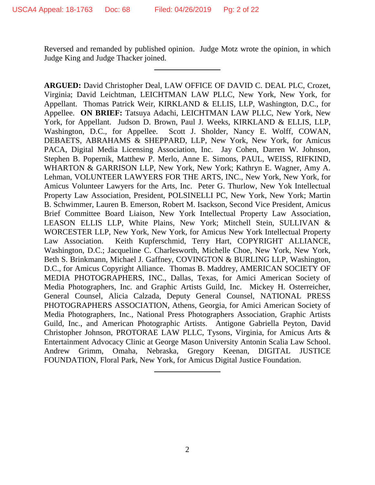Reversed and remanded by published opinion. Judge Motz wrote the opinion, in which Judge King and Judge Thacker joined.

**ARGUED:** David Christopher Deal, LAW OFFICE OF DAVID C. DEAL PLC, Crozet, Virginia; David Leichtman, LEICHTMAN LAW PLLC, New York, New York, for Appellant. Thomas Patrick Weir, KIRKLAND & ELLIS, LLP, Washington, D.C., for Appellee. **ON BRIEF:** Tatsuya Adachi, LEICHTMAN LAW PLLC, New York, New York, for Appellant. Judson D. Brown, Paul J. Weeks, KIRKLAND & ELLIS, LLP, Washington, D.C., for Appellee. Scott J. Sholder, Nancy E. Wolff, COWAN, DEBAETS, ABRAHAMS & SHEPPARD, LLP, New York, New York, for Amicus PACA, Digital Media Licensing Association, Inc. Jay Cohen, Darren W. Johnson, Stephen B. Popernik, Matthew P. Merlo, Anne E. Simons, PAUL, WEISS, RIFKIND, WHARTON & GARRISON LLP, New York, New York; Kathryn E. Wagner, Amy A. Lehman, VOLUNTEER LAWYERS FOR THE ARTS, INC., New York, New York, for Amicus Volunteer Lawyers for the Arts, Inc. Peter G. Thurlow, New Yok Intellectual Property Law Association, President, POLSINELLI PC, New York, New York; Martin B. Schwimmer, Lauren B. Emerson, Robert M. Isackson, Second Vice President, Amicus Brief Committee Board Liaison, New York Intellectual Property Law Association, LEASON ELLIS LLP, White Plains, New York; Mitchell Stein, SULLIVAN & WORCESTER LLP, New York, New York, for Amicus New York Intellectual Property Law Association. Keith Kupferschmid, Terry Hart, COPYRIGHT ALLIANCE, Washington, D.C.; Jacqueline C. Charlesworth, Michelle Choe, New York, New York, Beth S. Brinkmann, Michael J. Gaffney, COVINGTON & BURLING LLP, Washington, D.C., for Amicus Copyright Alliance. Thomas B. Maddrey, AMERICAN SOCIETY OF MEDIA PHOTOGRAPHERS, INC., Dallas, Texas, for Amici American Society of Media Photographers, Inc. and Graphic Artists Guild, Inc. Mickey H. Osterreicher, General Counsel, Alicia Calzada, Deputy General Counsel, NATIONAL PRESS PHOTOGRAPHERS ASSOCIATION, Athens, Georgia, for Amici American Society of Media Photographers, Inc., National Press Photographers Association, Graphic Artists Guild, Inc., and American Photographic Artists. Antigone Gabriella Peyton, David Christopher Johnson, PROTORAE LAW PLLC, Tysons, Virginia, for Amicus Arts & Entertainment Advocacy Clinic at George Mason University Antonin Scalia Law School. Andrew Grimm, Omaha, Nebraska, Gregory Keenan, DIGITAL JUSTICE FOUNDATION, Floral Park, New York, for Amicus Digital Justice Foundation.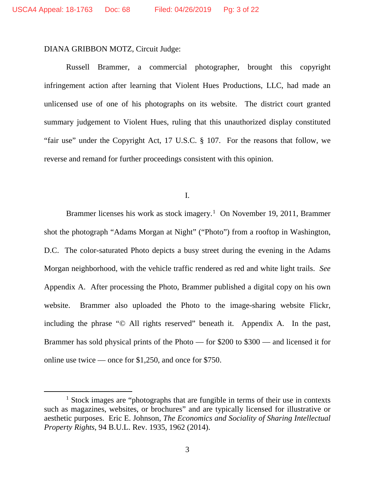### DIANA GRIBBON MOTZ, Circuit Judge:

Russell Brammer, a commercial photographer, brought this copyright infringement action after learning that Violent Hues Productions, LLC, had made an unlicensed use of one of his photographs on its website. The district court granted summary judgement to Violent Hues, ruling that this unauthorized display constituted "fair use" under the Copyright Act, 17 U.S.C. § 107. For the reasons that follow, we reverse and remand for further proceedings consistent with this opinion.

I.

Brammer licenses his work as stock imagery.<sup>1</sup> On November 19, 2011, Brammer shot the photograph "Adams Morgan at Night" ("Photo") from a rooftop in Washington, D.C. The color-saturated Photo depicts a busy street during the evening in the Adams Morgan neighborhood, with the vehicle traffic rendered as red and white light trails. *See*  Appendix A. After processing the Photo, Brammer published a digital copy on his own website. Brammer also uploaded the Photo to the image-sharing website Flickr, including the phrase "© All rights reserved" beneath it. Appendix A*.* In the past, Brammer has sold physical prints of the Photo — for \$200 to \$300 — and licensed it for online use twice — once for \$1,250, and once for \$750.

<sup>&</sup>lt;sup>1</sup> Stock images are "photographs that are fungible in terms of their use in contexts such as magazines, websites, or brochures" and are typically licensed for illustrative or aesthetic purposes. Eric E. Johnson, *The Economics and Sociality of Sharing Intellectual Property Rights*, 94 B.U.L. Rev. 1935, 1962 (2014).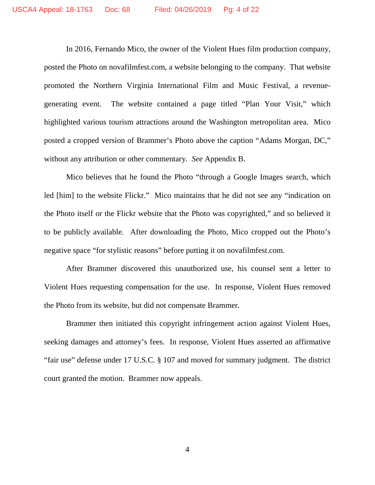In 2016, Fernando Mico, the owner of the Violent Hues film production company, posted the Photo on novafilmfest.com, a website belonging to the company. That website promoted the Northern Virginia International Film and Music Festival, a revenuegenerating event. The website contained a page titled "Plan Your Visit," which highlighted various tourism attractions around the Washington metropolitan area. Mico posted a cropped version of Brammer's Photo above the caption "Adams Morgan, DC," without any attribution or other commentary. *See* Appendix B.

Mico believes that he found the Photo "through a Google Images search, which led [him] to the website Flickr." Mico maintains that he did not see any "indication on the Photo itself or the Flickr website that the Photo was copyrighted," and so believed it to be publicly available. After downloading the Photo, Mico cropped out the Photo's negative space "for stylistic reasons" before putting it on novafilmfest.com.

After Brammer discovered this unauthorized use, his counsel sent a letter to Violent Hues requesting compensation for the use. In response, Violent Hues removed the Photo from its website, but did not compensate Brammer.

Brammer then initiated this copyright infringement action against Violent Hues, seeking damages and attorney's fees. In response, Violent Hues asserted an affirmative "fair use" defense under 17 U.S.C. § 107 and moved for summary judgment. The district court granted the motion. Brammer now appeals.

4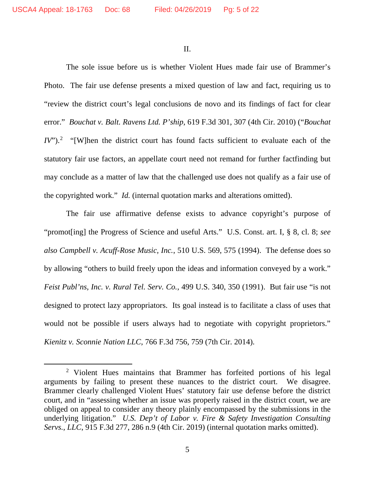II.

The sole issue before us is whether Violent Hues made fair use of Brammer's Photo. The fair use defense presents a mixed question of law and fact, requiring us to "review the district court's legal conclusions de novo and its findings of fact for clear error." *Bouchat v. Balt. Ravens Ltd. P'ship*, 619 F.3d 301, 307 (4th Cir. 2010) ("*Bouchat IV*").<sup>2</sup> "[W]hen the district court has found facts sufficient to evaluate each of the statutory fair use factors, an appellate court need not remand for further factfinding but may conclude as a matter of law that the challenged use does not qualify as a fair use of the copyrighted work." *Id.* (internal quotation marks and alterations omitted).

The fair use affirmative defense exists to advance copyright's purpose of "promot[ing] the Progress of Science and useful Arts." U.S. Const. art. I, § 8, cl. 8; *see also Campbell v. Acuff-Rose Music, Inc.*, 510 U.S. 569, 575 (1994). The defense does so by allowing "others to build freely upon the ideas and information conveyed by a work." *Feist Publ'ns, Inc. v. Rural Tel. Serv. Co.*, 499 U.S. 340, 350 (1991). But fair use "is not designed to protect lazy appropriators. Its goal instead is to facilitate a class of uses that would not be possible if users always had to negotiate with copyright proprietors." *Kienitz v. Sconnie Nation LLC*, 766 F.3d 756, 759 (7th Cir. 2014).

<sup>&</sup>lt;sup>2</sup> Violent Hues maintains that Brammer has forfeited portions of his legal arguments by failing to present these nuances to the district court. We disagree. Brammer clearly challenged Violent Hues' statutory fair use defense before the district court, and in "assessing whether an issue was properly raised in the district court, we are obliged on appeal to consider any theory plainly encompassed by the submissions in the underlying litigation." *U.S. Dep't of Labor v. Fire & Safety Investigation Consulting Servs., LLC*, 915 F.3d 277, 286 n.9 (4th Cir. 2019) (internal quotation marks omitted).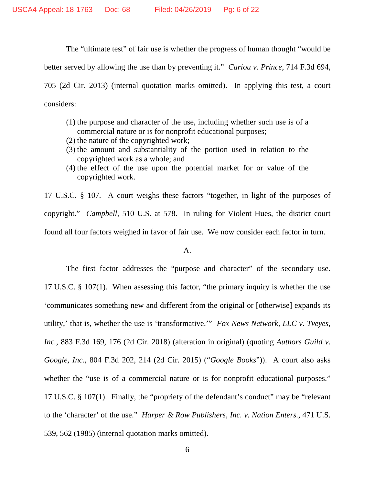The "ultimate test" of fair use is whether the progress of human thought "would be better served by allowing the use than by preventing it." *Cariou v. Prince*, 714 F.3d 694, 705 (2d Cir. 2013) (internal quotation marks omitted). In applying this test, a court considers:

- (1) the purpose and character of the use, including whether such use is of a commercial nature or is for nonprofit educational purposes;
- (2) the nature of the copyrighted work;
- (3) the amount and substantiality of the portion used in relation to the copyrighted work as a whole; and
- (4) the effect of the use upon the potential market for or value of the copyrighted work.

17 U.S.C. § 107*.* A court weighs these factors "together, in light of the purposes of copyright." *Campbell*, 510 U.S. at 578. In ruling for Violent Hues, the district court found all four factors weighed in favor of fair use. We now consider each factor in turn.

#### A.

The first factor addresses the "purpose and character" of the secondary use. 17 U.S.C. § 107(1)*.* When assessing this factor, "the primary inquiry is whether the use 'communicates something new and different from the original or [otherwise] expands its utility,' that is, whether the use is 'transformative.'" *Fox News Network, LLC v. Tveyes, Inc.*, 883 F.3d 169, 176 (2d Cir. 2018) (alteration in original) (quoting *Authors Guild v. Google, Inc.*, 804 F.3d 202, 214 (2d Cir. 2015) ("*Google Books*")). A court also asks whether the "use is of a commercial nature or is for nonprofit educational purposes." 17 U.S.C. § 107(1). Finally, the "propriety of the defendant's conduct" may be "relevant to the 'character' of the use." *Harper & Row Publishers, Inc. v. Nation Enters.*, 471 U.S. 539, 562 (1985) (internal quotation marks omitted).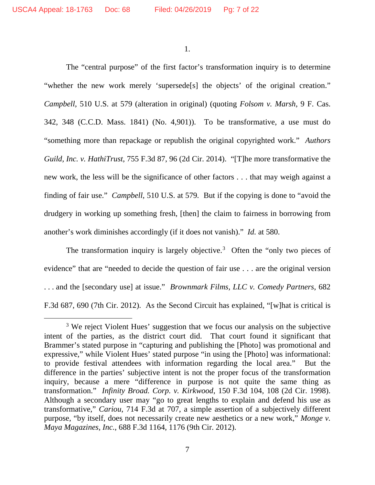1.

The "central purpose" of the first factor's transformation inquiry is to determine "whether the new work merely 'supersede[s] the objects' of the original creation." *Campbell*, 510 U.S. at 579 (alteration in original) (quoting *Folsom v. Marsh*, 9 F. Cas. 342, 348 (C.C.D. Mass. 1841) (No. 4,901)). To be transformative, a use must do "something more than repackage or republish the original copyrighted work." *Authors Guild, Inc. v. HathiTrust*, 755 F.3d 87, 96 (2d Cir. 2014). "[T]he more transformative the new work, the less will be the significance of other factors . . . that may weigh against a finding of fair use." *Campbell*, 510 U.S. at 579*.* But if the copying is done to "avoid the drudgery in working up something fresh, [then] the claim to fairness in borrowing from another's work diminishes accordingly (if it does not vanish)." *Id.* at 580.

The transformation inquiry is largely objective.<sup>3</sup> Often the "only two pieces of evidence" that are "needed to decide the question of fair use . . . are the original version . . . and the [secondary use] at issue." *Brownmark Films, LLC v. Comedy Partners*, 682 F.3d 687, 690 (7th Cir. 2012). As the Second Circuit has explained, "[w]hat is critical is

<sup>&</sup>lt;sup>3</sup> We reject Violent Hues' suggestion that we focus our analysis on the subjective intent of the parties, as the district court did. That court found it significant that Brammer's stated purpose in "capturing and publishing the [Photo] was promotional and expressive," while Violent Hues' stated purpose "in using the [Photo] was informational: to provide festival attendees with information regarding the local area." But the difference in the parties' subjective intent is not the proper focus of the transformation inquiry, because a mere "difference in purpose is not quite the same thing as transformation." *Infinity Broad. Corp. v. Kirkwood*, 150 F.3d 104, 108 (2d Cir. 1998). Although a secondary user may "go to great lengths to explain and defend his use as transformative," *Cariou*, 714 F.3d at 707, a simple assertion of a subjectively different purpose, "by itself, does not necessarily create new aesthetics or a new work," *Monge v. Maya Magazines, Inc.*, 688 F.3d 1164, 1176 (9th Cir. 2012).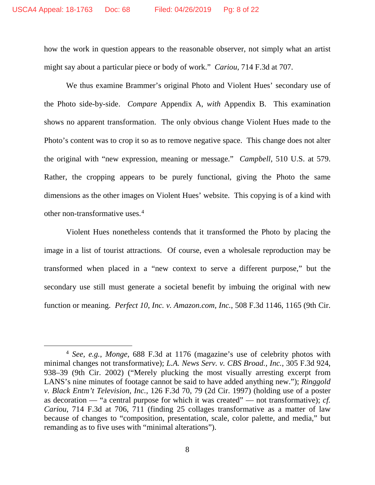how the work in question appears to the reasonable observer, not simply what an artist might say about a particular piece or body of work." *Cariou*, 714 F.3d at 707.

We thus examine Brammer's original Photo and Violent Hues' secondary use of the Photo side-by-side. *Compare* Appendix A, *with* Appendix B. This examination shows no apparent transformation. The only obvious change Violent Hues made to the Photo's content was to crop it so as to remove negative space. This change does not alter the original with "new expression, meaning or message." *Campbell*, 510 U.S. at 579. Rather, the cropping appears to be purely functional, giving the Photo the same dimensions as the other images on Violent Hues' website. This copying is of a kind with other non-transformative uses.4

Violent Hues nonetheless contends that it transformed the Photo by placing the image in a list of tourist attractions. Of course, even a wholesale reproduction may be transformed when placed in a "new context to serve a different purpose," but the secondary use still must generate a societal benefit by imbuing the original with new function or meaning. *Perfect 10, Inc. v. Amazon.com, Inc.*, 508 F.3d 1146, 1165 (9th Cir.

 <sup>4</sup> *See, e.g.*, *Monge*, 688 F.3d at 1176 (magazine's use of celebrity photos with minimal changes not transformative); *L.A. News Serv. v. CBS Broad., Inc.*, 305 F.3d 924, 938–39 (9th Cir. 2002) ("Merely plucking the most visually arresting excerpt from LANS's nine minutes of footage cannot be said to have added anything new."); *Ringgold v. Black Entm't Television, Inc.*, 126 F.3d 70, 79 (2d Cir. 1997) (holding use of a poster as decoration — "a central purpose for which it was created" — not transformative); *cf. Cariou*, 714 F.3d at 706, 711 (finding 25 collages transformative as a matter of law because of changes to "composition, presentation, scale, color palette, and media," but remanding as to five uses with "minimal alterations").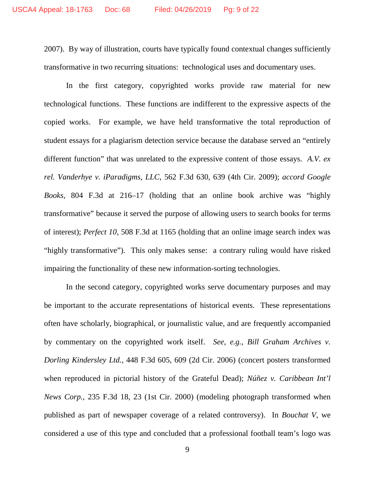2007). By way of illustration, courts have typically found contextual changes sufficiently transformative in two recurring situations: technological uses and documentary uses.

In the first category, copyrighted works provide raw material for new technological functions. These functions are indifferent to the expressive aspects of the copied works. For example, we have held transformative the total reproduction of student essays for a plagiarism detection service because the database served an "entirely different function" that was unrelated to the expressive content of those essays. *A.V. ex rel. Vanderhye v. iParadigms, LLC*, 562 F.3d 630, 639 (4th Cir. 2009); *accord Google Books*, 804 F.3d at 216–17 (holding that an online book archive was "highly transformative" because it served the purpose of allowing users to search books for terms of interest); *Perfect 10*, 508 F.3d at 1165 (holding that an online image search index was "highly transformative"). This only makes sense: a contrary ruling would have risked impairing the functionality of these new information-sorting technologies.

In the second category, copyrighted works serve documentary purposes and may be important to the accurate representations of historical events. These representations often have scholarly, biographical, or journalistic value, and are frequently accompanied by commentary on the copyrighted work itself. *See, e.g.*, *Bill Graham Archives v. Dorling Kindersley Ltd.*, 448 F.3d 605, 609 (2d Cir. 2006) (concert posters transformed when reproduced in pictorial history of the Grateful Dead); *Núñez v. Caribbean Int'l News Corp.*, 235 F.3d 18, 23 (1st Cir. 2000) (modeling photograph transformed when published as part of newspaper coverage of a related controversy). In *Bouchat V*, we considered a use of this type and concluded that a professional football team's logo was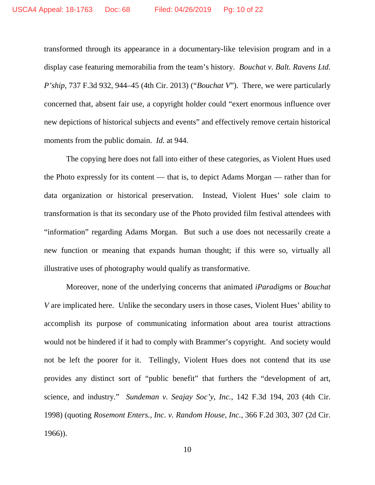transformed through its appearance in a documentary-like television program and in a display case featuring memorabilia from the team's history. *Bouchat v. Balt. Ravens Ltd. P'ship*, 737 F.3d 932, 944–45 (4th Cir. 2013) ("*Bouchat V*"). There, we were particularly concerned that, absent fair use, a copyright holder could "exert enormous influence over new depictions of historical subjects and events" and effectively remove certain historical moments from the public domain. *Id.* at 944.

The copying here does not fall into either of these categories, as Violent Hues used the Photo expressly for its content — that is, to depict Adams Morgan — rather than for data organization or historical preservation. Instead, Violent Hues' sole claim to transformation is that its secondary use of the Photo provided film festival attendees with "information" regarding Adams Morgan. But such a use does not necessarily create a new function or meaning that expands human thought; if this were so, virtually all illustrative uses of photography would qualify as transformative.

Moreover, none of the underlying concerns that animated *iParadigms* or *Bouchat V* are implicated here. Unlike the secondary users in those cases, Violent Hues' ability to accomplish its purpose of communicating information about area tourist attractions would not be hindered if it had to comply with Brammer's copyright. And society would not be left the poorer for it. Tellingly, Violent Hues does not contend that its use provides any distinct sort of "public benefit" that furthers the "development of art, science, and industry." *Sundeman v. Seajay Soc'y, Inc.*, 142 F.3d 194, 203 (4th Cir. 1998) (quoting *Rosemont Enters., Inc. v. Random House, Inc.*, 366 F.2d 303, 307 (2d Cir. 1966)).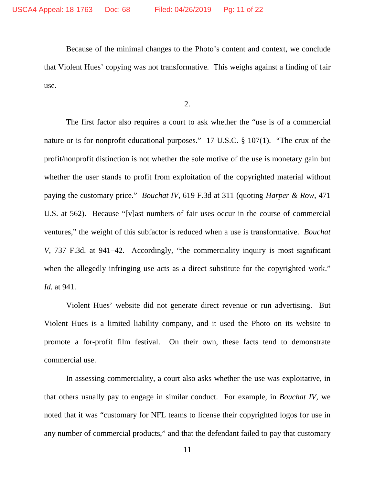Because of the minimal changes to the Photo's content and context, we conclude that Violent Hues' copying was not transformative. This weighs against a finding of fair use.

2.

The first factor also requires a court to ask whether the "use is of a commercial nature or is for nonprofit educational purposes." 17 U.S.C. § 107(1). "The crux of the profit/nonprofit distinction is not whether the sole motive of the use is monetary gain but whether the user stands to profit from exploitation of the copyrighted material without paying the customary price." *Bouchat IV*, 619 F.3d at 311 (quoting *Harper & Row*, 471 U.S. at 562). Because "[v]ast numbers of fair uses occur in the course of commercial ventures," the weight of this subfactor is reduced when a use is transformative. *Bouchat V*, 737 F.3d. at 941–42. Accordingly, "the commerciality inquiry is most significant when the allegedly infringing use acts as a direct substitute for the copyrighted work." *Id.* at 941.

Violent Hues' website did not generate direct revenue or run advertising. But Violent Hues is a limited liability company, and it used the Photo on its website to promote a for-profit film festival. On their own, these facts tend to demonstrate commercial use.

In assessing commerciality, a court also asks whether the use was exploitative, in that others usually pay to engage in similar conduct. For example, in *Bouchat IV*, we noted that it was "customary for NFL teams to license their copyrighted logos for use in any number of commercial products," and that the defendant failed to pay that customary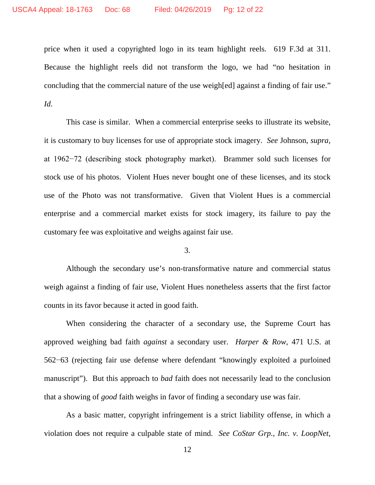price when it used a copyrighted logo in its team highlight reels. 619 F.3d at 311. Because the highlight reels did not transform the logo, we had "no hesitation in concluding that the commercial nature of the use weigh[ed] against a finding of fair use." *Id*.

This case is similar. When a commercial enterprise seeks to illustrate its website, it is customary to buy licenses for use of appropriate stock imagery. *See* Johnson, *supra*, at 1962−72 (describing stock photography market). Brammer sold such licenses for stock use of his photos. Violent Hues never bought one of these licenses, and its stock use of the Photo was not transformative. Given that Violent Hues is a commercial enterprise and a commercial market exists for stock imagery, its failure to pay the customary fee was exploitative and weighs against fair use.

### 3.

Although the secondary use's non-transformative nature and commercial status weigh against a finding of fair use, Violent Hues nonetheless asserts that the first factor counts in its favor because it acted in good faith.

When considering the character of a secondary use, the Supreme Court has approved weighing bad faith *against* a secondary user. *Harper & Row*, 471 U.S. at 562−63 (rejecting fair use defense where defendant "knowingly exploited a purloined manuscript"). But this approach to *bad* faith does not necessarily lead to the conclusion that a showing of *good* faith weighs in favor of finding a secondary use was fair.

As a basic matter, copyright infringement is a strict liability offense, in which a violation does not require a culpable state of mind. *See CoStar Grp., Inc. v. LoopNet,*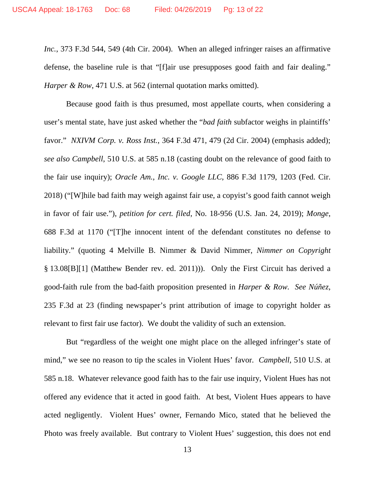*Inc.*, 373 F.3d 544, 549 (4th Cir. 2004). When an alleged infringer raises an affirmative defense, the baseline rule is that "[f]air use presupposes good faith and fair dealing." *Harper & Row*, 471 U.S. at 562 (internal quotation marks omitted).

Because good faith is thus presumed, most appellate courts, when considering a user's mental state, have just asked whether the "*bad faith* subfactor weighs in plaintiffs' favor." *NXIVM Corp. v. Ross Inst.*, 364 F.3d 471, 479 (2d Cir. 2004) (emphasis added); *see also Campbell*, 510 U.S. at 585 n.18 (casting doubt on the relevance of good faith to the fair use inquiry); *Oracle Am., Inc. v. Google LLC*, 886 F.3d 1179, 1203 (Fed. Cir. 2018) ("[W]hile bad faith may weigh against fair use, a copyist's good faith cannot weigh in favor of fair use."), *petition for cert. filed*, No. 18-956 (U.S. Jan. 24, 2019); *Monge*, 688 F.3d at 1170 ("[T]he innocent intent of the defendant constitutes no defense to liability." (quoting 4 Melville B. Nimmer & David Nimmer, *Nimmer on Copyright* § 13.08[B][1] (Matthew Bender rev. ed. 2011))). Only the First Circuit has derived a good-faith rule from the bad-faith proposition presented in *Harper & Row. See Núñez*, 235 F.3d at 23 (finding newspaper's print attribution of image to copyright holder as relevant to first fair use factor). We doubt the validity of such an extension.

But "regardless of the weight one might place on the alleged infringer's state of mind," we see no reason to tip the scales in Violent Hues' favor. *Campbell*, 510 U.S. at 585 n.18. Whatever relevance good faith has to the fair use inquiry, Violent Hues has not offered any evidence that it acted in good faith. At best, Violent Hues appears to have acted negligently. Violent Hues' owner, Fernando Mico, stated that he believed the Photo was freely available. But contrary to Violent Hues' suggestion, this does not end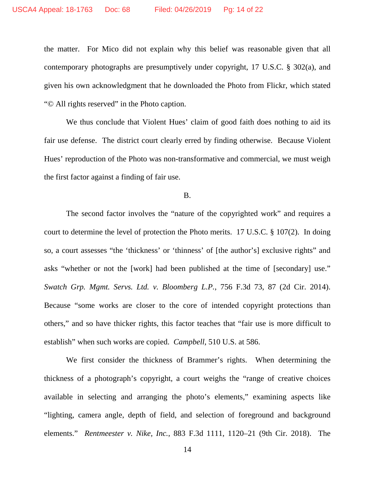the matter. For Mico did not explain why this belief was reasonable given that all contemporary photographs are presumptively under copyright, 17 U.S.C. § 302(a), and given his own acknowledgment that he downloaded the Photo from Flickr, which stated "© All rights reserved" in the Photo caption.

We thus conclude that Violent Hues' claim of good faith does nothing to aid its fair use defense. The district court clearly erred by finding otherwise. Because Violent Hues' reproduction of the Photo was non-transformative and commercial, we must weigh the first factor against a finding of fair use.

B.

The second factor involves the "nature of the copyrighted work" and requires a court to determine the level of protection the Photo merits. 17 U.S.C. § 107(2). In doing so, a court assesses "the 'thickness' or 'thinness' of [the author's] exclusive rights" and asks "whether or not the [work] had been published at the time of [secondary] use." *Swatch Grp. Mgmt. Servs. Ltd. v. Bloomberg L.P.*, 756 F.3d 73, 87 (2d Cir. 2014). Because "some works are closer to the core of intended copyright protections than others," and so have thicker rights, this factor teaches that "fair use is more difficult to establish" when such works are copied. *Campbell*, 510 U.S. at 586.

We first consider the thickness of Brammer's rights. When determining the thickness of a photograph's copyright, a court weighs the "range of creative choices available in selecting and arranging the photo's elements," examining aspects like "lighting, camera angle, depth of field, and selection of foreground and background elements." *Rentmeester v. Nike, Inc.*, 883 F.3d 1111, 1120–21 (9th Cir. 2018). The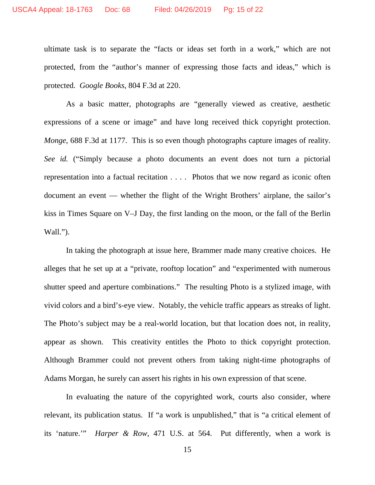ultimate task is to separate the "facts or ideas set forth in a work," which are not protected, from the "author's manner of expressing those facts and ideas," which is protected. *Google Books*, 804 F.3d at 220.

As a basic matter, photographs are "generally viewed as creative, aesthetic expressions of a scene or image" and have long received thick copyright protection. *Monge*, 688 F.3d at 1177. This is so even though photographs capture images of reality. *See id.* ("Simply because a photo documents an event does not turn a pictorial representation into a factual recitation . . . . Photos that we now regard as iconic often document an event — whether the flight of the Wright Brothers' airplane, the sailor's kiss in Times Square on V–J Day, the first landing on the moon, or the fall of the Berlin Wall.").

In taking the photograph at issue here, Brammer made many creative choices. He alleges that he set up at a "private, rooftop location" and "experimented with numerous shutter speed and aperture combinations." The resulting Photo is a stylized image, with vivid colors and a bird's-eye view. Notably, the vehicle traffic appears as streaks of light. The Photo's subject may be a real-world location, but that location does not, in reality, appear as shown. This creativity entitles the Photo to thick copyright protection. Although Brammer could not prevent others from taking night-time photographs of Adams Morgan, he surely can assert his rights in his own expression of that scene.

In evaluating the nature of the copyrighted work, courts also consider, where relevant, its publication status. If "a work is unpublished," that is "a critical element of its 'nature.'" *Harper & Row*, 471 U.S. at 564. Put differently, when a work is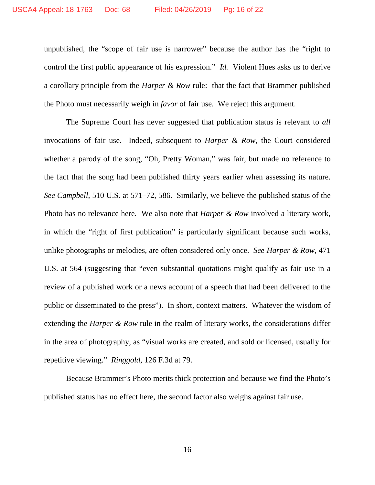unpublished, the "scope of fair use is narrower" because the author has the "right to control the first public appearance of his expression." *Id.* Violent Hues asks us to derive a corollary principle from the *Harper & Row* rule: that the fact that Brammer published the Photo must necessarily weigh in *favor* of fair use. We reject this argument.

The Supreme Court has never suggested that publication status is relevant to *all* invocations of fair use. Indeed, subsequent to *Harper & Row*, the Court considered whether a parody of the song, "Oh, Pretty Woman," was fair, but made no reference to the fact that the song had been published thirty years earlier when assessing its nature. *See Campbell*, 510 U.S. at 571–72, 586. Similarly, we believe the published status of the Photo has no relevance here. We also note that *Harper & Row* involved a literary work, in which the "right of first publication" is particularly significant because such works, unlike photographs or melodies, are often considered only once. *See Harper & Row*, 471 U.S. at 564 (suggesting that "even substantial quotations might qualify as fair use in a review of a published work or a news account of a speech that had been delivered to the public or disseminated to the press"). In short, context matters. Whatever the wisdom of extending the *Harper & Row* rule in the realm of literary works, the considerations differ in the area of photography, as "visual works are created, and sold or licensed, usually for repetitive viewing." *Ringgold*, 126 F.3d at 79.

Because Brammer's Photo merits thick protection and because we find the Photo's published status has no effect here, the second factor also weighs against fair use.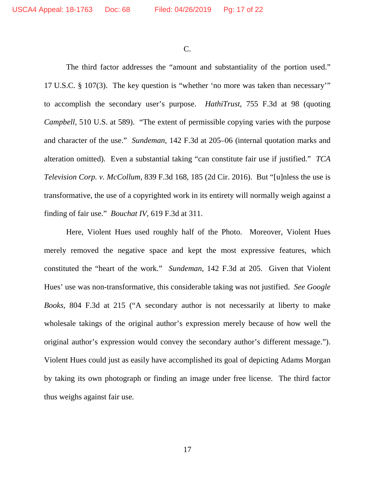C.

The third factor addresses the "amount and substantiality of the portion used." 17 U.S.C. § 107(3). The key question is "whether 'no more was taken than necessary'" to accomplish the secondary user's purpose. *HathiTrust*, 755 F.3d at 98 (quoting *Campbell*, 510 U.S. at 589). "The extent of permissible copying varies with the purpose and character of the use." *Sundeman*, 142 F.3d at 205–06 (internal quotation marks and alteration omitted). Even a substantial taking "can constitute fair use if justified." *TCA Television Corp. v. McCollum*, 839 F.3d 168, 185 (2d Cir. 2016). But "[u]nless the use is transformative, the use of a copyrighted work in its entirety will normally weigh against a finding of fair use." *Bouchat IV*, 619 F.3d at 311.

Here, Violent Hues used roughly half of the Photo. Moreover, Violent Hues merely removed the negative space and kept the most expressive features, which constituted the "heart of the work." *Sundeman*, 142 F.3d at 205. Given that Violent Hues' use was non-transformative, this considerable taking was not justified. *See Google Books*, 804 F.3d at 215 ("A secondary author is not necessarily at liberty to make wholesale takings of the original author's expression merely because of how well the original author's expression would convey the secondary author's different message."). Violent Hues could just as easily have accomplished its goal of depicting Adams Morgan by taking its own photograph or finding an image under free license. The third factor thus weighs against fair use.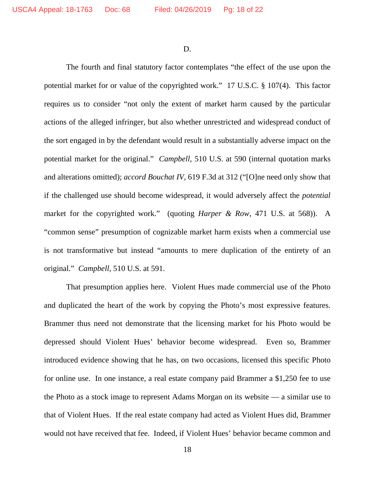D.

The fourth and final statutory factor contemplates "the effect of the use upon the potential market for or value of the copyrighted work." 17 U.S.C. § 107(4). This factor requires us to consider "not only the extent of market harm caused by the particular actions of the alleged infringer, but also whether unrestricted and widespread conduct of the sort engaged in by the defendant would result in a substantially adverse impact on the potential market for the original." *Campbell*, 510 U.S. at 590 (internal quotation marks and alterations omitted); *accord Bouchat IV*, 619 F.3d at 312 ("[O]ne need only show that if the challenged use should become widespread, it would adversely affect the *potential* market for the copyrighted work." (quoting *Harper & Row*, 471 U.S. at 568)). A "common sense" presumption of cognizable market harm exists when a commercial use is not transformative but instead "amounts to mere duplication of the entirety of an original." *Campbell*, 510 U.S. at 591.

That presumption applies here. Violent Hues made commercial use of the Photo and duplicated the heart of the work by copying the Photo's most expressive features. Brammer thus need not demonstrate that the licensing market for his Photo would be depressed should Violent Hues' behavior become widespread. Even so, Brammer introduced evidence showing that he has, on two occasions, licensed this specific Photo for online use. In one instance, a real estate company paid Brammer a \$1,250 fee to use the Photo as a stock image to represent Adams Morgan on its website — a similar use to that of Violent Hues. If the real estate company had acted as Violent Hues did, Brammer would not have received that fee. Indeed, if Violent Hues' behavior became common and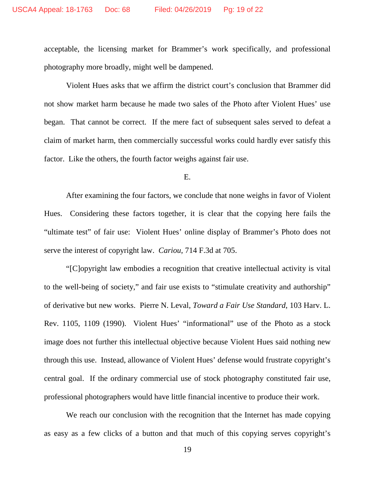acceptable, the licensing market for Brammer's work specifically, and professional photography more broadly, might well be dampened.

Violent Hues asks that we affirm the district court's conclusion that Brammer did not show market harm because he made two sales of the Photo after Violent Hues' use began. That cannot be correct. If the mere fact of subsequent sales served to defeat a claim of market harm, then commercially successful works could hardly ever satisfy this factor. Like the others, the fourth factor weighs against fair use.

E.

After examining the four factors, we conclude that none weighs in favor of Violent Hues. Considering these factors together, it is clear that the copying here fails the "ultimate test" of fair use: Violent Hues' online display of Brammer's Photo does not serve the interest of copyright law. *Cariou*, 714 F.3d at 705.

"[C]opyright law embodies a recognition that creative intellectual activity is vital to the well-being of society," and fair use exists to "stimulate creativity and authorship" of derivative but new works. Pierre N. Leval, *Toward a Fair Use Standard*, 103 Harv. L. Rev. 1105, 1109 (1990). Violent Hues' "informational" use of the Photo as a stock image does not further this intellectual objective because Violent Hues said nothing new through this use. Instead, allowance of Violent Hues' defense would frustrate copyright's central goal. If the ordinary commercial use of stock photography constituted fair use, professional photographers would have little financial incentive to produce their work.

We reach our conclusion with the recognition that the Internet has made copying as easy as a few clicks of a button and that much of this copying serves copyright's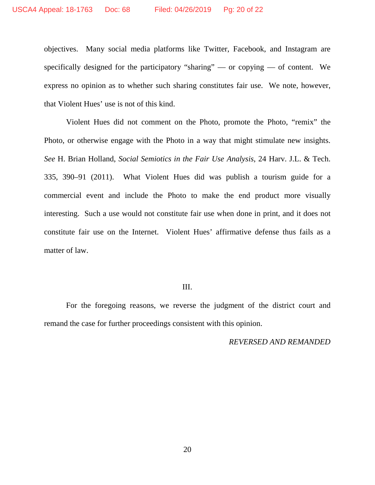objectives. Many social media platforms like Twitter, Facebook, and Instagram are specifically designed for the participatory "sharing" — or copying — of content. We express no opinion as to whether such sharing constitutes fair use. We note, however, that Violent Hues' use is not of this kind.

Violent Hues did not comment on the Photo, promote the Photo, "remix" the Photo, or otherwise engage with the Photo in a way that might stimulate new insights. *See* H. Brian Holland, *Social Semiotics in the Fair Use Analysis*, 24 Harv. J.L. & Tech. 335, 390–91 (2011). What Violent Hues did was publish a tourism guide for a commercial event and include the Photo to make the end product more visually interesting. Such a use would not constitute fair use when done in print, and it does not constitute fair use on the Internet. Violent Hues' affirmative defense thus fails as a matter of law.

#### III.

For the foregoing reasons, we reverse the judgment of the district court and remand the case for further proceedings consistent with this opinion.

#### *REVERSED AND REMANDED*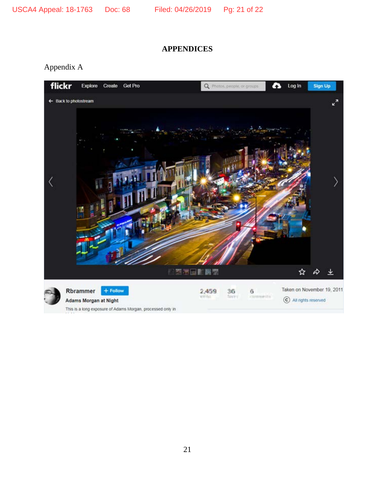# **APPENDICES**

Appendix A



This is a long exposure of Adams Morgan, processed only in